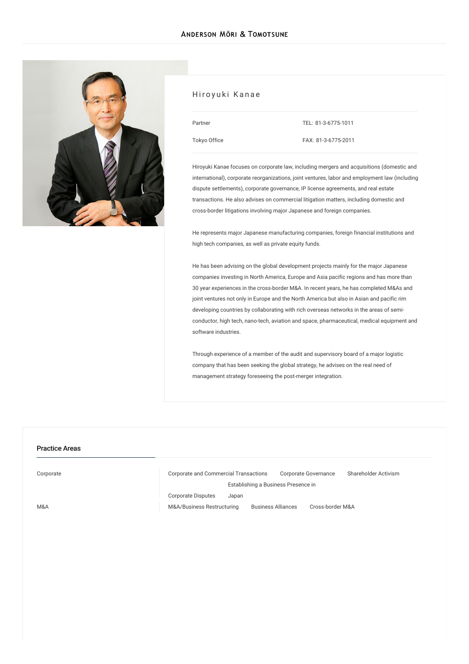

### Hiroyuki Kanae

| Partner             |  |
|---------------------|--|
| <b>Tokyo Office</b> |  |

TEL: [81-3-6775-1011](tel:81-3-6775-1011) FAX: 81-3-6775-2011

Hiroyuki Kanae focuses on corporate law, including mergers and acquisitions (domestic and international), corporate reorganizations, joint ventures, labor and employment law (including dispute settlements), corporate governance, IP license agreements, and real estate transactions. He also advises on commercial litigation matters, including domestic and cross-border litigations involving major Japanese and foreign companies.

He represents major Japanese manufacturing companies, foreign financial institutions and high tech companies, as well as private equity funds.

He has been advising on the global development projects mainly for the major Japanese companies investing in North America, Europe and Asia pacific regions and has more than 30 year experiences in the cross-border M&A. In recent years, he has completed M&As and joint ventures not only in Europe and the North America but also in Asian and pacific rim developing countries by collaborating with rich overseas networks in the areas of semiconductor, high tech, nano-tech, aviation and space, pharmaceutical, medical equipment and software industries.

Through experience of a member of the audit and supervisory board of a major logistic company that has been seeking the global strategy, he advises on the real need of management strategy foreseeing the post-merger integration.

### Practice Areas

[Corporate](/en/services/practices/corporate) Corporate and Commercial [Transactions](/en/services/practices/corporate/corporate-and-commercial-transactions) Corporate [Governance](/en/services/practices/corporate/corporate-governance) [Shareholder](/en/services/practices/corporate/shareholder-activism) Activism [Corporate](/en/services/practices/corporate/corporate-disputes) Disputes [Establishing](/en/services/practices/corporate/establishing_a_business_presence_in_japan) a Business Presence in Japan

[M&A](/en/services/practices/mergers-and-acquisitions) [M&A/Business](/en/services/practices/mergers-and-acquisitions/mergers-and-acquisitions_business-restructuring) Restructuring [Business](/en/services/practices/mergers-and-acquisitions/business-alliances) Alliances [Cross-border](/en/services/practices/mergers-and-acquisitions/cross-border-mergers-and-acquisitions) M&A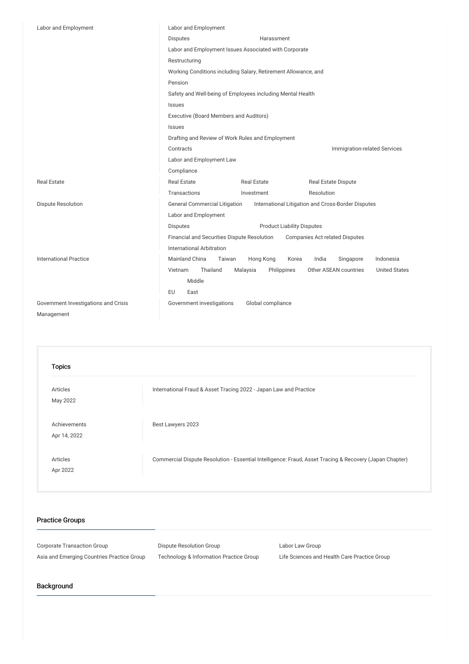| Labor and Employment                 | Labor and Employment                                                                            |  |  |
|--------------------------------------|-------------------------------------------------------------------------------------------------|--|--|
|                                      | <b>Disputes</b><br>Harassment                                                                   |  |  |
|                                      | Labor and Employment Issues Associated with Corporate                                           |  |  |
|                                      | Restructuring                                                                                   |  |  |
|                                      | Working Conditions including Salary, Retirement Allowance, and                                  |  |  |
|                                      | Pension                                                                                         |  |  |
|                                      | Safety and Well-being of Employees including Mental Health                                      |  |  |
|                                      | <b>Issues</b>                                                                                   |  |  |
|                                      | Executive (Board Members and Auditors)                                                          |  |  |
|                                      | Issues                                                                                          |  |  |
|                                      | Drafting and Review of Work Rules and Employment                                                |  |  |
|                                      | Contracts<br>Immigration-related Services                                                       |  |  |
|                                      | Labor and Employment Law                                                                        |  |  |
|                                      | Compliance                                                                                      |  |  |
| <b>Real Estate</b>                   | <b>Real Estate</b><br><b>Real Estate</b><br><b>Real Estate Dispute</b>                          |  |  |
|                                      | Transactions<br>Resolution<br>Investment                                                        |  |  |
| <b>Dispute Resolution</b>            | <b>General Commercial Litigation</b><br>International Litigation and Cross-Border Disputes      |  |  |
|                                      | Labor and Employment                                                                            |  |  |
|                                      | <b>Product Liability Disputes</b><br><b>Disputes</b>                                            |  |  |
|                                      | Financial and Securities Dispute Resolution<br><b>Companies Act related Disputes</b>            |  |  |
|                                      | <b>International Arbitration</b>                                                                |  |  |
| <b>International Practice</b>        | Mainland China<br>Hong Kong<br>India<br>Indonesia<br>Taiwan<br>Korea<br>Singapore               |  |  |
|                                      | Thailand<br>Vietnam<br>Philippines<br>Other ASEAN countries<br><b>United States</b><br>Malaysia |  |  |
|                                      | Middle                                                                                          |  |  |
|                                      | EU<br>East                                                                                      |  |  |
| Government Investigations and Crisis | Government investigations<br>Global compliance                                                  |  |  |
| Management                           |                                                                                                 |  |  |

| <b>Topics</b>                |                                                                                                         |
|------------------------------|---------------------------------------------------------------------------------------------------------|
| Articles<br>May 2022         | International Fraud & Asset Tracing 2022 - Japan Law and Practice                                       |
| Achievements<br>Apr 14, 2022 | Best Lawyers 2023                                                                                       |
| Articles<br>Apr 2022         | Commercial Dispute Resolution - Essential Intelligence: Fraud, Asset Tracing & Recovery (Japan Chapter) |

# Practice Groups

Corporate Transaction Group **Dispute Resolution Group** Corporate Transaction Group

Asia and Emerging Countries Practice Group Technology & Information Practice Group Life Sciences and Health Care Practice Group

# Background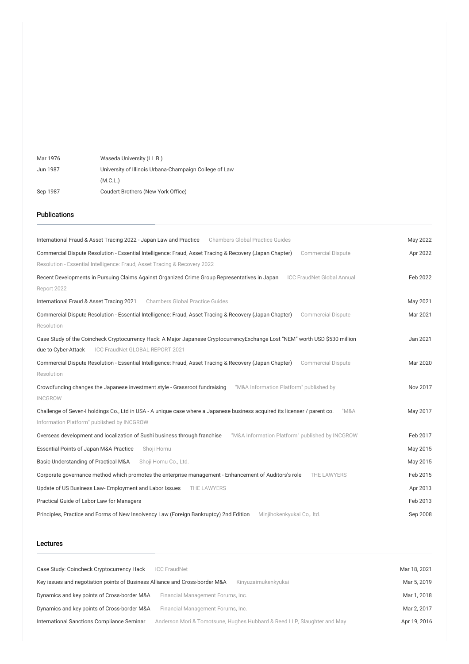| Mar 1976 | Waseda University (LL.B.)                              |
|----------|--------------------------------------------------------|
| Jun 1987 | University of Illinois Urbana-Champaign College of Law |
|          | (M.C.L.)                                               |
| Sep 1987 | Coudert Brothers (New York Office)                     |

#### Publications

| International Fraud & Asset Tracing 2022 - Japan Law and Practice<br><b>Chambers Global Practice Guides</b>                          | May 2022 |
|--------------------------------------------------------------------------------------------------------------------------------------|----------|
| Commercial Dispute Resolution - Essential Intelligence: Fraud, Asset Tracing & Recovery (Japan Chapter)<br><b>Commercial Dispute</b> | Apr 2022 |
| Resolution - Essential Intelligence: Fraud, Asset Tracing & Recovery 2022                                                            |          |
| <b>ICC FraudNet Global Annual</b><br>Recent Developments in Pursuing Claims Against Organized Crime Group Representatives in Japan   | Feb 2022 |
| Report 2022                                                                                                                          |          |
| <b>Chambers Global Practice Guides</b><br>International Fraud & Asset Tracing 2021                                                   | May 2021 |
| Commercial Dispute Resolution - Essential Intelligence: Fraud, Asset Tracing & Recovery (Japan Chapter)<br><b>Commercial Dispute</b> | Mar 2021 |
| Resolution                                                                                                                           |          |
| Case Study of the Coincheck Cryptocurrency Hack: A Major Japanese CryptocurrencyExchange Lost "NEM" worth USD \$530 million          | Jan 2021 |
| ICC FraudNet GLOBAL REPORT 2021<br>due to Cyber-Attack                                                                               |          |
| Commercial Dispute Resolution - Essential Intelligence: Fraud, Asset Tracing & Recovery (Japan Chapter)<br><b>Commercial Dispute</b> | Mar 2020 |
| Resolution                                                                                                                           |          |
| "M&A Information Platform" published by<br>Crowdfunding changes the Japanese investment style - Grassroot fundraising                | Nov 2017 |
| <b>INCGROW</b>                                                                                                                       |          |
| Challenge of Seven-I holdings Co., Ltd in USA - A unique case where a Japanese business acquired its licenser / parent co.<br>"M&A   | May 2017 |
| Information Platform" published by INCGROW                                                                                           |          |
| Overseas development and localization of Sushi business through franchise<br>"M&A Information Platform" published by INCGROW         | Feb 2017 |
| Essential Points of Japan M&A Practice<br>Shoji Homu                                                                                 | May 2015 |
| Basic Understanding of Practical M&A<br>Shoji Homu Co., Ltd.                                                                         | May 2015 |
| Corporate governance method which promotes the enterprise management - Enhancement of Auditors's role<br>THE LAWYERS                 | Feb 2015 |
| Update of US Business Law- Employment and Labor Issues<br>THE LAWYERS                                                                | Apr 2013 |
| Practical Guide of Labor Law for Managers                                                                                            | Feb 2013 |
| Principles, Practice and Forms of New Insolvency Law (Foreign Bankruptcy) 2nd Edition<br>Minjihokenkyukai Co,. Itd.                  | Sep 2008 |

#### Lectures

| Case Study: Coincheck Cryptocurrency Hack                                   | <b>ICC FraudNet</b>                                                     | Mar 18, 2021 |
|-----------------------------------------------------------------------------|-------------------------------------------------------------------------|--------------|
| Key issues and negotiation points of Business Alliance and Cross-border M&A | Kinyuzaimukenkyukai                                                     | Mar 5, 2019  |
| Dynamics and key points of Cross-border M&A                                 | Financial Management Forums, Inc.                                       | Mar 1, 2018  |
| Dynamics and key points of Cross-border M&A                                 | Financial Management Forums, Inc.                                       | Mar 2, 2017  |
| International Sanctions Compliance Seminar                                  | Anderson Mori & Tomotsune, Hughes Hubbard & Reed LLP, Slaughter and May | Apr 19, 2016 |